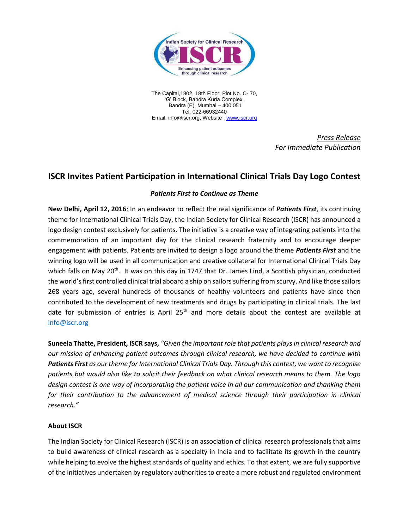

The Capital,1802, 18th Floor, Plot No. C- 70, 'G' Block, Bandra Kurla Complex, Bandra (E), Mumbai – 400 051 Tel: 022-66932440 Email: info@iscr.org, Website : [www.iscr.org](http://www.iscr.org/)

> *Press Release For Immediate Publication*

## **ISCR Invites Patient Participation in International Clinical Trials Day Logo Contest**

## *Patients First to Continue as Theme*

**New Delhi, April 12, 2016**: In an endeavor to reflect the real significance of *Patients First*, its continuing theme for International Clinical Trials Day, the Indian Society for Clinical Research (ISCR) has announced a logo design contest exclusively for patients. The initiative is a creative way of integrating patients into the commemoration of an important day for the clinical research fraternity and to encourage deeper engagement with patients. Patients are invited to design a logo around the theme *Patients First* and the winning logo will be used in all communication and creative collateral for International Clinical Trials Day which falls on May 20<sup>th</sup>. It was on this day in 1747 that Dr. James Lind, a Scottish physician, conducted the world's first controlled clinical trial aboard a ship on sailors suffering from scurvy. And like those sailors 268 years ago, several hundreds of thousands of healthy volunteers and patients have since then contributed to the development of new treatments and drugs by participating in clinical trials. The last date for submission of entries is April 25<sup>th</sup> and more details about the contest are available at [info@iscr.org](mailto:info@iscr.org)

**Suneela Thatte, President, ISCR says,** *"Given the important role that patients plays in clinical research and our mission of enhancing patient outcomes through clinical research, we have decided to continue with Patients First as our theme for International Clinical Trials Day. Through this contest, we want to recognise patients but would also like to solicit their feedback on what clinical research means to them. The logo design contest is one way of incorporating the patient voice in all our communication and thanking them*  for their contribution to the advancement of medical science through their participation in clinical *research."* 

## **About ISCR**

The Indian Society for Clinical Research (ISCR) is an association of clinical research professionals that aims to build awareness of clinical research as a specialty in India and to facilitate its growth in the country while helping to evolve the highest standards of quality and ethics. To that extent, we are fully supportive of the initiatives undertaken by regulatory authorities to create a more robust and regulated environment